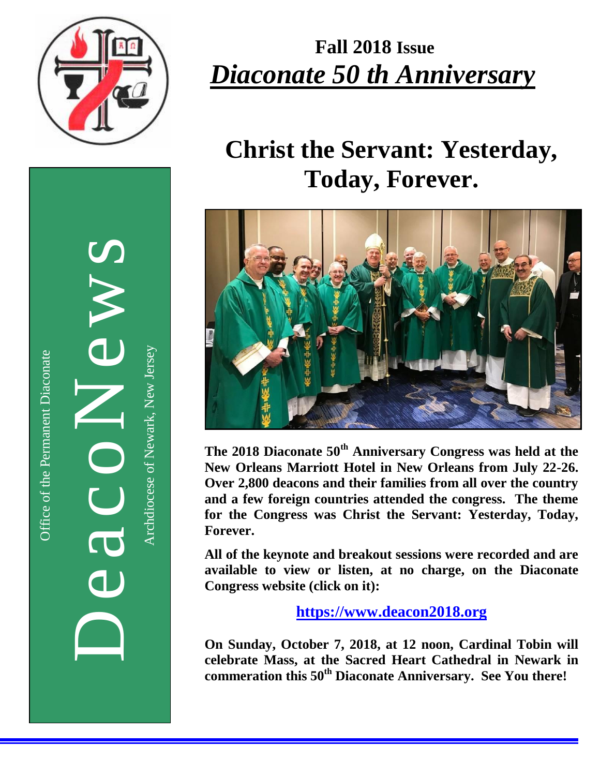

# **Fall 2018 Issue** *Diaconate 50 th Anniversary*

# **Christ the Servant: Yesterday, Today, Forever.**



**The 2018 Diaconate 50th Anniversary Congress was held at the New Orleans Marriott Hotel in New Orleans from July 22-26. Over 2,800 deacons and their families from all over the country and a few foreign countries attended the congress. The theme for the Congress was Christ the Servant: Yesterday, Today, Forever.** 

**All of the keynote and breakout sessions were recorded and are available to view or listen, at no charge, on the Diaconate Congress website (click on it):**

**[https://www.deacon2018.org](https://www.deacon2018.org/)**

**On Sunday, October 7, 2018, at 12 noon, Cardinal Tobin will celebrate Mass, at the Sacred Heart Cathedral in Newark in commeration this 50th Diaconate Anniversary. See You there!**

DeacoNews News Archdiocese of Newark, New JerseyArchdiocese of Newark, New Jersey 

 $\overline{\mathbf{d}}$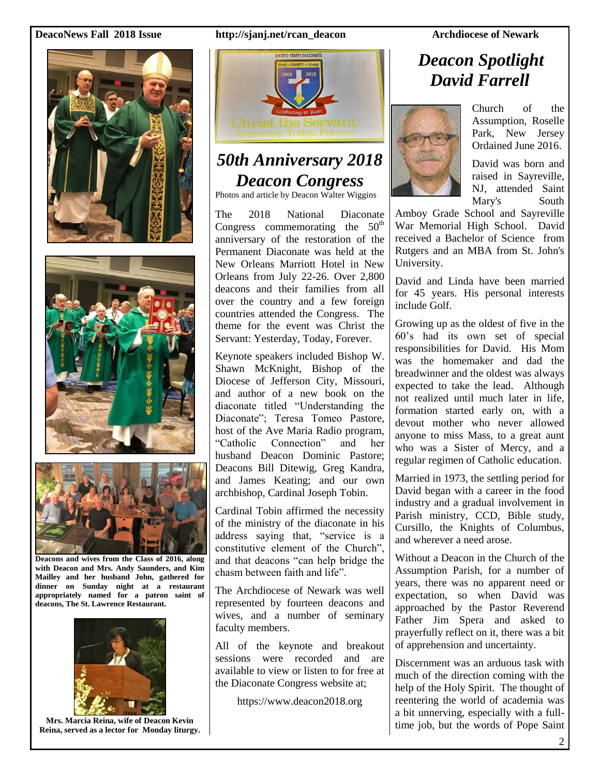#### **DeacoNews Fall 2018 Issue http://sjanj.net/rcan\_deacon Archdiocese of Newark**







**Deacons and wives from the Class of 2016, along with Deacon and Mrs. Andy Saunders, and Kim Mailley and her husband John, gathered for dinner on Sunday night at a restaurant appropriately named for a patron saint of deacons, The St. Lawrence Restaurant.**



**Mrs. Marcia Reina, wife of Deacon Kevin Reina, served as a lector for Monday liturgy.**



### *50th Anniversary 2018 Deacon Congress*

Photos and article by Deacon Walter Wiggins

The 2018 National Diaconate Congress commemorating the  $50<sup>th</sup>$ anniversary of the restoration of the Permanent Diaconate was held at the New Orleans Marriott Hotel in New Orleans from July 22-26. Over 2,800 deacons and their families from all over the country and a few foreign countries attended the Congress. The theme for the event was Christ the Servant: Yesterday, Today, Forever.

Keynote speakers included Bishop W. Shawn McKnight, Bishop of the Diocese of Jefferson City, Missouri, and author of a new book on the diaconate titled "Understanding the Diaconate"; Teresa Tomeo Pastore, host of the Ave Maria Radio program, "Catholic Connection" and her husband Deacon Dominic Pastore; Deacons Bill Ditewig, Greg Kandra, and James Keating; and our own archbishop, Cardinal Joseph Tobin.

Cardinal Tobin affirmed the necessity of the ministry of the diaconate in his address saying that, "service is a constitutive element of the Church", and that deacons "can help bridge the chasm between faith and life".

The Archdiocese of Newark was well represented by fourteen deacons and wives, and a number of seminary faculty members.

All of the keynote and breakout sessions were recorded and are available to view or listen to for free at the Diaconate Congress website at;

https://www.deacon2018.org

### *Deacon Spotlight David Farrell*



Church of the Assumption, Roselle Park, New Jersey Ordained June 2016.

David was born and raised in Sayreville, NJ, attended Saint Mary's South

Amboy Grade School and Sayreville War Memorial High School. David received a Bachelor of Science from Rutgers and an MBA from St. John's University.

David and Linda have been married for 45 years. His personal interests include Golf.

Growing up as the oldest of five in the 60's had its own set of special responsibilities for David. His Mom was the homemaker and dad the breadwinner and the oldest was always expected to take the lead. Although not realized until much later in life, formation started early on, with a devout mother who never allowed anyone to miss Mass, to a great aunt who was a Sister of Mercy, and a regular regimen of Catholic education.

Married in 1973, the settling period for David began with a career in the food industry and a gradual involvement in Parish ministry, CCD, Bible study, Cursillo, the Knights of Columbus, and wherever a need arose.

Without a Deacon in the Church of the Assumption Parish, for a number of years, there was no apparent need or expectation, so when David was approached by the Pastor Reverend Father Jim Spera and asked to prayerfully reflect on it, there was a bit of apprehension and uncertainty.

Discernment was an arduous task with much of the direction coming with the help of the Holy Spirit. The thought of reentering the world of academia was a bit unnerving, especially with a fulltime job, but the words of Pope Saint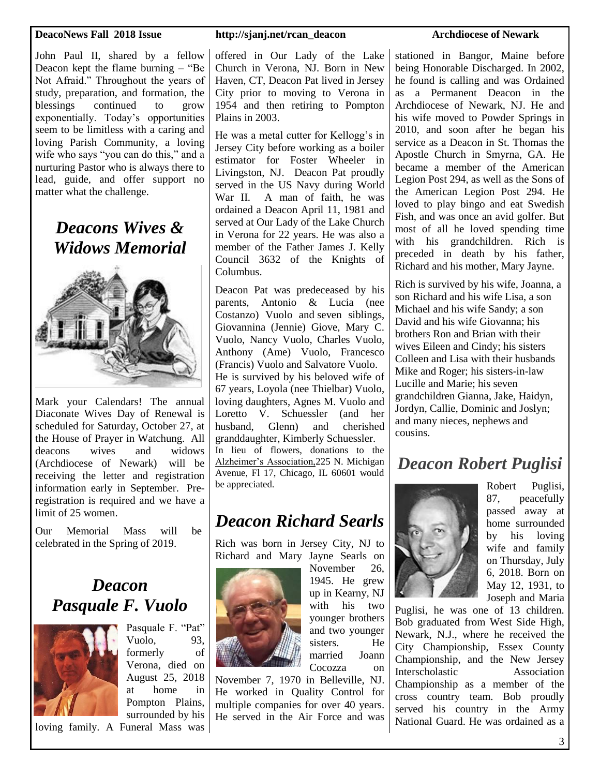John Paul II, shared by a fellow Deacon kept the flame burning – "Be Not Afraid." Throughout the years of study, preparation, and formation, the blessings continued to grow exponentially. Today's opportunities seem to be limitless with a caring and loving Parish Community, a loving wife who says "you can do this," and a nurturing Pastor who is always there to lead, guide, and offer support no matter what the challenge.

> *Deacons Wives & Widows Memorial*



Mark your Calendars! The annual Diaconate Wives Day of Renewal is scheduled for Saturday, October 27, at the House of Prayer in Watchung. All deacons wives and widows (Archdiocese of Newark) will be receiving the letter and registration information early in September. Preregistration is required and we have a limit of 25 women.

Our Memorial Mass will be celebrated in the Spring of 2019.

#### *Deacon Pasquale F. Vuolo*



Pasquale F. "Pat" Vuolo, 93, formerly of Verona, died on August 25, 2018 at home in Pompton Plains, surrounded by his

loving family. A Funeral Mass was

#### **DeacoNews Fall 2018 Issue http://sjanj.net/rcan\_deacon Archdiocese of Newark**

offered in Our Lady of the Lake Church in Verona, NJ. Born in New Haven, CT, Deacon Pat lived in Jersey City prior to moving to Verona in 1954 and then retiring to Pompton Plains in 2003.

He was a metal cutter for Kellogg's in Jersey City before working as a boiler estimator for Foster Wheeler in Livingston, NJ. Deacon Pat proudly served in the US Navy during World War II. A man of faith, he was ordained a Deacon April 11, 1981 and served at Our Lady of the Lake Church in Verona for 22 years. He was also a member of the Father James J. Kelly Council 3632 of the Knights of Columbus.

Deacon Pat was predeceased by his parents, Antonio & Lucia (nee Costanzo) Vuolo and seven siblings, Giovannina (Jennie) Giove, Mary C. Vuolo, Nancy Vuolo, Charles Vuolo, Anthony (Ame) Vuolo, Francesco (Francis) Vuolo and Salvatore Vuolo. He is survived by his beloved wife of 67 years, Loyola (nee Thielbar) Vuolo, loving daughters, Agnes M. Vuolo and Loretto V. Schuessler (and her husband, Glenn) and cherished granddaughter, Kimberly Schuessler. In lieu of flowers, donations to the [Alzheimer's Association,2](https://act.alz.org/site/Donation2?df_id=32112&32112.donation=form1)25 N. Michigan Avenue, Fl 17, Chicago, IL 60601 would

### *Deacon Richard Searls*

Rich was born in Jersey City, NJ to Richard and Mary Jayne Searls on



be appreciated.

November 26, 1945. He grew up in Kearny, NJ with his two younger brothers and two younger sisters. He married Joann Cocozza on

November 7, 1970 in Belleville, NJ. He worked in Quality Control for multiple companies for over 40 years. He served in the Air Force and was

stationed in Bangor, Maine before being Honorable Discharged. In 2002, he found is calling and was Ordained as a Permanent Deacon in the Archdiocese of Newark, NJ. He and his wife moved to Powder Springs in 2010, and soon after he began his service as a Deacon in St. Thomas the Apostle Church in Smyrna, GA. He became a member of the American Legion Post 294, as well as the Sons of the American Legion Post 294. He loved to play bingo and eat Swedish Fish, and was once an avid golfer. But most of all he loved spending time with his grandchildren. Rich is preceded in death by his father, Richard and his mother, Mary Jayne.

Rich is survived by his wife, Joanna, a son Richard and his wife Lisa, a son Michael and his wife Sandy; a son David and his wife Giovanna; his brothers Ron and Brian with their wives Eileen and Cindy; his sisters Colleen and Lisa with their husbands Mike and Roger; his sisters-in-law Lucille and Marie; his seven grandchildren Gianna, Jake, Haidyn, Jordyn, Callie, Dominic and Joslyn; and many nieces, nephews and cousins.

#### *Deacon Robert Puglisi*



Robert Puglisi, 87, peacefully passed away at home surrounded by his loving wife and family on Thursday, July 6, 2018. Born on May 12, 1931, to Joseph and Maria

Puglisi, he was one of 13 children. Bob graduated from West Side High, Newark, N.J., where he received the City Championship, Essex County Championship, and the New Jersey Interscholastic Association Championship as a member of the cross country team. Bob proudly served his country in the Army National Guard. He was ordained as a

3